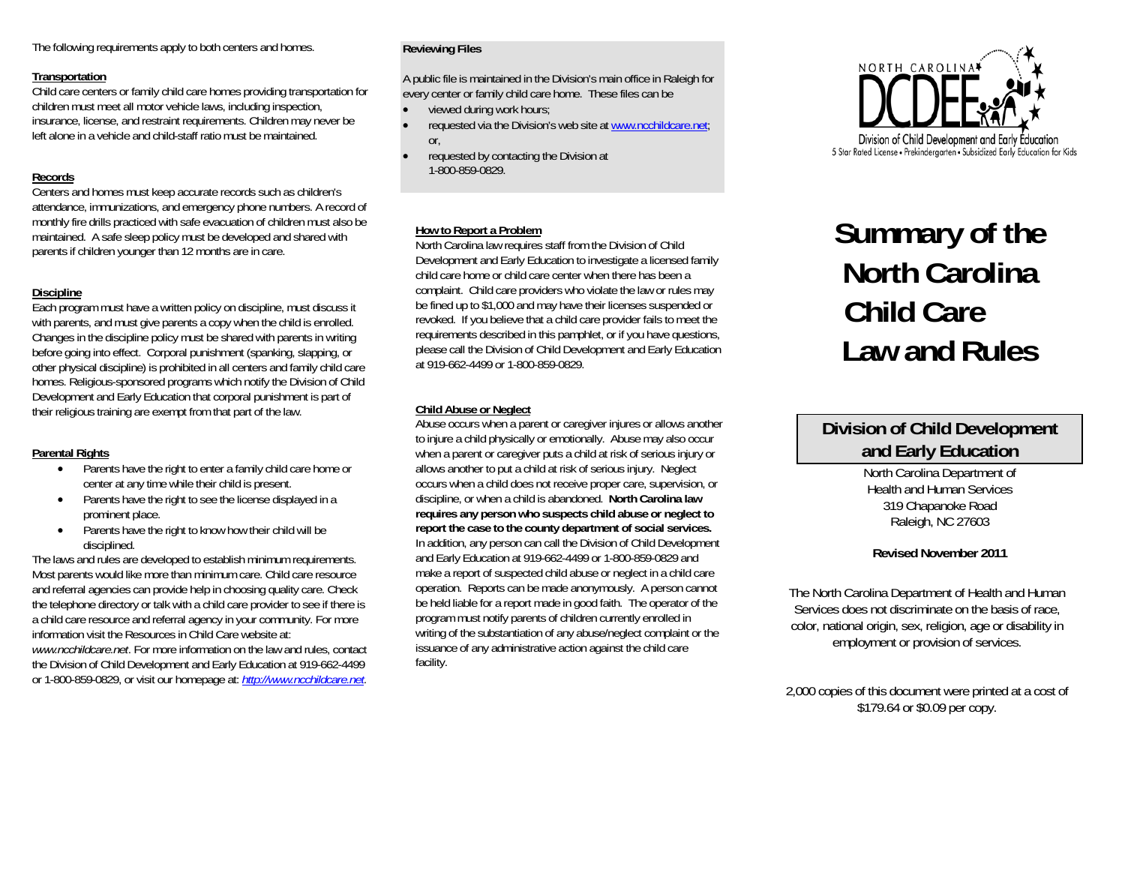The following requirements apply to both centers and homes.

#### **Transportation**

Child care centers or family child care homes providing transportation for children must meet all motor vehicle laws, including inspection, insurance, license, and restraint requirements. Children may never be left alone in a vehicle and child-staff ratio must be maintained.

# **Records**

Centers and homes must keep accurate records such as children's attendance, immunizations, and emergency phone numbers. A record of monthly fire drills practiced with safe evacuation of children must also be maintained. A safe sleep policy must be developed and shared with parents if children younger than 12 months are in care.

# **Discipline**

Each program must have a written policy on discipline, must discuss it with parents, and must give parents a copy when the child is enrolled. Changes in the discipline policy must be shared with parents in writing before going into effect. Corporal punishment (spanking, slapping, or other physical discipline) is prohibited in all centers and family child care homes. Religious-sponsored programs which notify the Division of Child Development and Early Education that corporal punishment is part of their religious training are exempt from that part of the law.

# **Parental Rights**

- c Parents have the right to enter a family child care home or center at any time while their child is present.
- c Parents have the right to see the license displayed in a prominent place.
- c Parents have the right to know how their child will be disciplined.

The laws and rules are developed to establish minimum requirements. Most parents would like more than minimum care. Child care resource and referral agencies can provide help in choosing quality care. Check the telephone directory or talk with a child care provider to see if there is a child care resource and referral agency in your community. For more information visit the Resources in Child Care website at: *www.ncchildcare.net*. For more information on the law and rules, contact the Division of Child Development and Early Education at 919-662-4499 or 1-800-859-0829, or visit our homepage at: *[http://www.ncchildcare.net](http://www.ncchildcare.net/).* 

# **Reviewing Files**

A public file is maintained in the Division's main office in Raleigh for every center or family child care home. These files can be

- c viewed during work hours;
- c requested via the Division's web site at [www.ncchildcare.net](http://www.ncchildcare.net/); or,
- c requested by contacting the Division at 1-800-859-0829.

# **How to Report a Problem**

North Carolina law requires staff from the Division of Child Development and Early Education to investigate a licensed family child care home or child care center when there has been a complaint. Child care providers who violate the law or rules may be fined up to \$1,000 and may have their licenses suspended or revoked. If you believe that a child care provider fails to meet the requirements described in this pamphlet, or if you have questions, please call the Division of Child Development and Early Education at 919-662-4499 or 1-800-859-0829.

# **Child Abuse or Neglect**

Abuse occurs when a parent or caregiver injures or allows another to injure a child physically or emotionally. Abuse may also occur when a parent or caregiver puts a child at risk of serious injury or allows another to put a child at risk of serious injury. Neglect occurs when a child does not receive proper care, supervision, or discipline, or when a child is abandoned. **North Carolina law requires any person who suspects child abuse or neglect to report the case to the county department of social services.** In addition, any person can call the Division of Child Development and Early Education at 919-662-4499 or 1-800-859-0829 and make a report of suspected child abuse or neglect in a child care operation. Reports can be made anonymously. A person cannot be held liable for a report made in good faith. The operator of the program must notify parents of children currently enrolled in writing of the substantiation of any abuse/neglect complaint or the issuance of any administrative action against the child care facility.



# **Summary of the North Carolina Child Care Law and Rules**

# **Division of Child Development and Early Education**

North Carolina Department of Health and Human Services 319 Chapanoke Road Raleigh, NC 27603

# **Revised November 2011**

The North Carolina Department of Health and Human Services does not discriminate on the basis of race, color, national origin, sex, religion, age or disability in employment or provision of services.

2,000 copies of this document were printed at a cost of \$179.64 or \$0.09 per copy.